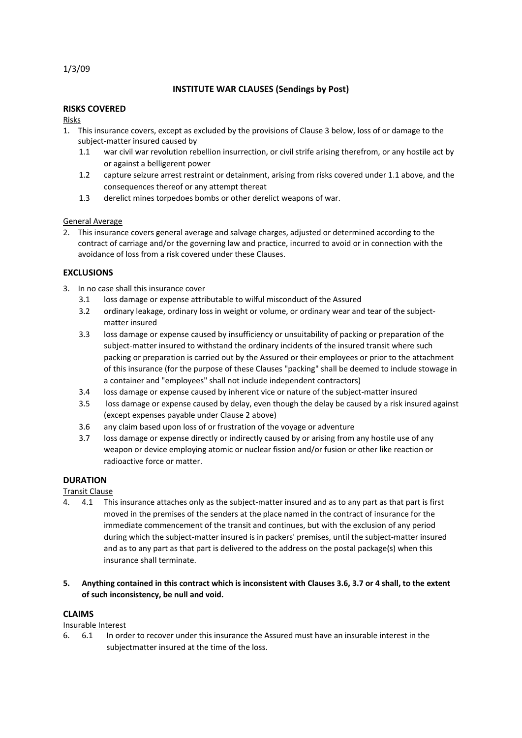1/3/09

# **INSTITUTE WAR CLAUSES (Sendings by Post)**

## **RISKS COVERED**

Risks

- 1. This insurance covers, except as excluded by the provisions of Clause 3 below, loss of or damage to the subject-matter insured caused by
	- 1.1 war civil war revolution rebellion insurrection, or civil strife arising therefrom, or any hostile act by or against a belligerent power
	- 1.2 capture seizure arrest restraint or detainment, arising from risks covered under 1.1 above, and the consequences thereof or any attempt thereat
	- 1.3 derelict mines torpedoes bombs or other derelict weapons of war.

#### General Average

2. This insurance covers general average and salvage charges, adjusted or determined according to the contract of carriage and/or the governing law and practice, incurred to avoid or in connection with the avoidance of loss from a risk covered under these Clauses.

## **EXCLUSIONS**

- 3. In no case shall this insurance cover
	- 3.1 loss damage or expense attributable to wilful misconduct of the Assured
	- 3.2 ordinary leakage, ordinary loss in weight or volume, or ordinary wear and tear of the subjectmatter insured
	- 3.3 loss damage or expense caused by insufficiency or unsuitability of packing or preparation of the subject-matter insured to withstand the ordinary incidents of the insured transit where such packing or preparation is carried out by the Assured or their employees or prior to the attachment of this insurance (for the purpose of these Clauses "packing" shall be deemed to include stowage in a container and "employees" shall not include independent contractors)
	- 3.4 loss damage or expense caused by inherent vice or nature of the subject-matter insured
	- 3.5 loss damage or expense caused by delay, even though the delay be caused by a risk insured against (except expenses payable under Clause 2 above)
	- 3.6 any claim based upon loss of or frustration of the voyage or adventure
	- 3.7 loss damage or expense directly or indirectly caused by or arising from any hostile use of any weapon or device employing atomic or nuclear fission and/or fusion or other like reaction or radioactive force or matter.

## **DURATION**

Transit Clause

- 4. 4.1 This insurance attaches only as the subject-matter insured and as to any part as that part is first moved in the premises of the senders at the place named in the contract of insurance for the immediate commencement of the transit and continues, but with the exclusion of any period during which the subject-matter insured is in packers' premises, until the subject-matter insured and as to any part as that part is delivered to the address on the postal package(s) when this insurance shall terminate.
- **5. Anything contained in this contract which is inconsistent with Clauses 3.6, 3.7 or 4 shall, to the extent of such inconsistency, be null and void.**

#### **CLAIMS**

## Insurable Interest

6. 6.1 In order to recover under this insurance the Assured must have an insurable interest in the subjectmatter insured at the time of the loss.